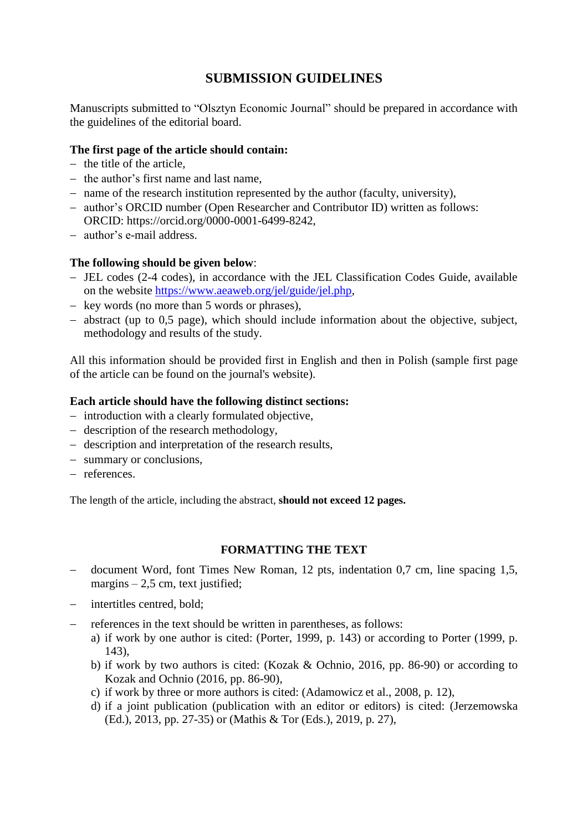# **SUBMISSION GUIDELINES**

Manuscripts submitted to "Olsztyn Economic Journal" should be prepared in accordance with the guidelines of the editorial board.

## **The first page of the article should contain:**

- $-$  the title of the article.
- $-$  the author's first name and last name.
- name of the research institution represented by the author (faculty, university),
- author's ORCID number (Open Researcher and Contributor ID) written as follows: ORCID: https://orcid.org/0000-0001-6499-8242,
- author's e-mail address.

### **The following should be given below**:

- JEL codes (2-4 codes), in accordance with the JEL Classification Codes Guide, available on the website [https://www.aeaweb.org/jel/guide/jel.php,](https://www.aeaweb.org/jel/guide/jel.php)
- $-$  key words (no more than 5 words or phrases),
- abstract (up to 0,5 page), which should include information about the objective, subject, methodology and results of the study.

All this information should be provided first in English and then in Polish (sample first page of the article can be found on the journal's website).

### **Each article should have the following distinct sections:**

- introduction with a clearly formulated objective,
- $\theta$  description of the research methodology,
- description and interpretation of the research results,
- summary or conclusions,
- references.

The length of the article, including the abstract, **should not exceed 12 pages.**

# **FORMATTING THE TEXT**

- document Word, font Times New Roman, 12 pts, indentation 0,7 cm, line spacing 1,5, margins  $-2,5$  cm, text justified;
- intertitles centred, bold;
- references in the text should be written in parentheses, as follows:
	- a) if work by one author is cited: (Porter, 1999, p. 143) or according to Porter (1999, p. 143),
	- b) if work by two authors is cited: (Kozak & Ochnio, 2016, pp. 86-90) or according to Kozak and Ochnio (2016, pp. 86-90),
	- c) if work by three or more authors is cited: (Adamowicz et al., 2008, p. 12),
	- d) if a joint publication (publication with an editor or editors) is cited: (Jerzemowska (Ed.), 2013, pp. 27-35) or (Mathis & Tor (Eds.), 2019, p. 27),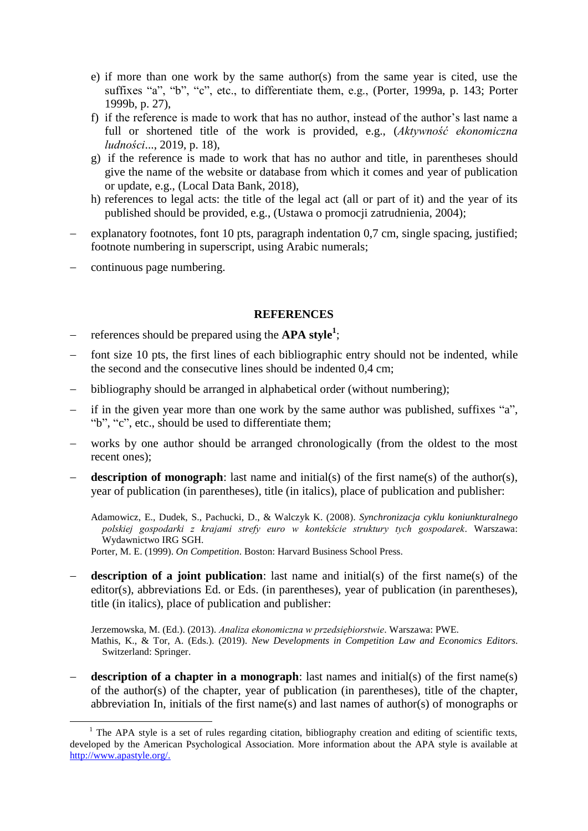- e) if more than one work by the same author(s) from the same year is cited, use the suffixes "a", "b", "c", etc., to differentiate them, e.g., (Porter, 1999a, p. 143; Porter 1999b, p. 27),
- f) if the reference is made to work that has no author, instead of the author's last name a full or shortened title of the work is provided, e.g., (*Aktywność ekonomiczna ludności*..., 2019, p. 18),
- g) if the reference is made to work that has no author and title, in parentheses should give the name of the website or database from which it comes and year of publication or update, e.g., (Local Data Bank, 2018),
- h) references to legal acts: the title of the legal act (all or part of it) and the year of its published should be provided, e.g., (Ustawa o promocji zatrudnienia, 2004);
- explanatory footnotes, font 10 pts, paragraph indentation 0,7 cm, single spacing, justified; footnote numbering in superscript, using Arabic numerals;
- continuous page numbering.

1

#### **REFERENCES**

- references should be prepared using the **APA style**<sup>1</sup>;
- font size 10 pts, the first lines of each bibliographic entry should not be indented, while the second and the consecutive lines should be indented 0,4 cm;
- bibliography should be arranged in alphabetical order (without numbering);
- if in the given year more than one work by the same author was published, suffixes "a", "b", "c", etc., should be used to differentiate them;
- works by one author should be arranged chronologically (from the oldest to the most recent ones);
- description of monograph: last name and initial(s) of the first name(s) of the author(s), year of publication (in parentheses), title (in italics), place of publication and publisher:

Adamowicz, E., Dudek, S., Pachucki, D., & Walczyk K. (2008). *Synchronizacja cyklu koniunkturalnego polskiej gospodarki z krajami strefy euro w kontekście struktury tych gospodarek*. Warszawa: Wydawnictwo IRG SGH.

Porter, M. E. (1999). *On Competition*. Boston: Harvard Business School Press.

 **description of a joint publication**: last name and initial(s) of the first name(s) of the editor(s), abbreviations Ed. or Eds. (in parentheses), year of publication (in parentheses), title (in italics), place of publication and publisher:

Jerzemowska, M. (Ed.). (2013). *Analiza ekonomiczna w przedsiębiorstwie*. Warszawa: PWE. Mathis, K., & Tor, A. (Eds.). (2019). *New Developments in Competition Law and Economics Editors*. Switzerland: Springer.

**description of a chapter in a monograph**: last names and initial(s) of the first name(s) of the author(s) of the chapter, year of publication (in parentheses), title of the chapter, abbreviation In, initials of the first name(s) and last names of author(s) of monographs or

<sup>&</sup>lt;sup>1</sup> The APA style is a set of rules regarding citation, bibliography creation and editing of scientific texts, developed by the American Psychological Association. More information about the APA style is available at [http://www.apastyle.org/.](http://www.apastyle.org/)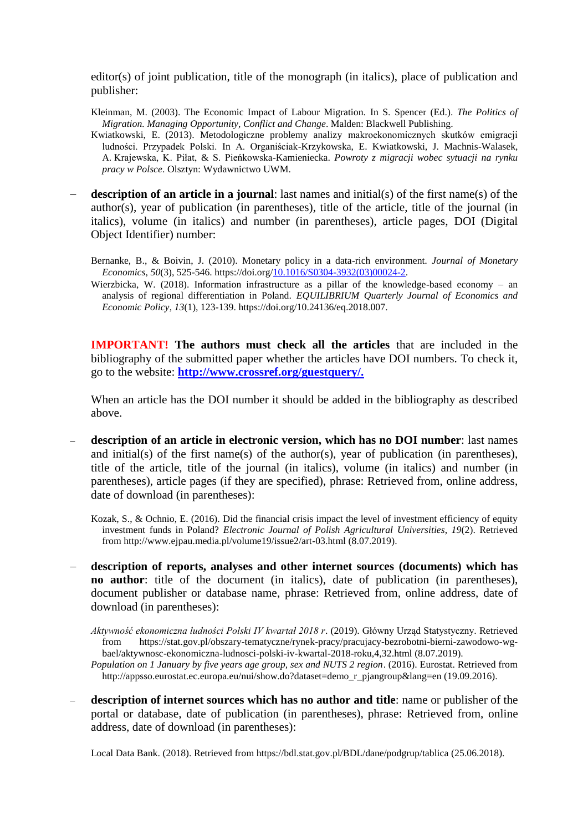editor(s) of joint publication, title of the monograph (in italics), place of publication and publisher:

- Kleinman, M. (2003). The Economic Impact of Labour Migration. In S. Spencer (Ed.). *The Politics of Migration. Managing Opportunity, Conflict and Change*. Malden: Blackwell Publishing.
- Kwiatkowski, E. (2013). Metodologiczne problemy analizy makroekonomicznych skutków emigracji ludności. Przypadek Polski. In A. Organiściak-Krzykowska, E. Kwiatkowski, J. Machnis-Walasek, A. Krajewska, K. Piłat, & S. Pieńkowska-Kamieniecka. *Powroty z migracji wobec sytuacji na rynku pracy w Polsce*. Olsztyn: Wydawnictwo UWM.
- **description of an article in a journal**: last names and initial(s) of the first name(s) of the author(s), year of publication (in parentheses), title of the article, title of the journal (in italics), volume (in italics) and number (in parentheses), article pages, DOI (Digital Object Identifier) number:
	- Bernanke, B., & Boivin, J. (2010). Monetary policy in a data-rich environment*. Journal of Monetary Economics*, *50*(3), 525-546. https://doi.org/10.1016/S0304-3932(03)00024-2.
	- Wierzbicka, W. (2018). Information infrastructure as a pillar of the knowledge-based economy  $-$  an analysis of regional differentiation in Poland. *EQUILIBRIUM Quarterly Journal of Economics and Economic Policy*, *13*(1), 123-139. https://doi.org/10.24136/eq.2018.007.

**IMPORTANT! The authors must check all the articles** that are included in the bibliography of the submitted paper whether the articles have DOI numbers. To check it, go to the website: **[http://www.crossref.org/guestquery/.](http://www.crossref.org/guestquery/)**

When an article has the DOI number it should be added in the bibliography as described above.

 **description of an article in electronic version, which has no DOI number**: last names and initial(s) of the first name(s) of the author(s), year of publication (in parentheses), title of the article, title of the journal (in italics), volume (in italics) and number (in parentheses), article pages (if they are specified), phrase: Retrieved from, online address, date of download (in parentheses):

Kozak, S., & Ochnio, E. (2016). Did the financial crisis impact the level of investment efficiency of equity investment funds in Poland? *Electronic Journal of Polish Agricultural Universities*, *19*(2). Retrieved from http://www.ejpau.media.pl/volume19/issue2/art-03.html (8.07.2019).

 **description of reports, analyses and other internet sources (documents) which has no author**: title of the document (in italics), date of publication (in parentheses), document publisher or database name, phrase: Retrieved from, online address, date of download (in parentheses):

*Aktywność ekonomiczna ludności Polski IV kwartał 2018 r*. (2019). Główny Urząd Statystyczny. Retrieved from [https://stat.gov.pl/obszary-tematyczne/rynek-pracy/pracujacy-bezrobotni-bierni-zawodowo-wg](file:///C:/Users/Wiola/Downloads/aktywnosc_ekonomiczna_ludnosci_polski_iv_kwartal_2018.pdf)[bael/aktywnosc-ekonomiczna-ludnosci-polski-iv-kwartal-2018-roku,4,32.html](file:///C:/Users/Wiola/Downloads/aktywnosc_ekonomiczna_ludnosci_polski_iv_kwartal_2018.pdf) (8.07.2019).

*Population on 1 January by five years age group, sex and NUTS 2 region*. (2016). Eurostat. Retrieved from http://appsso.eurostat.ec.europa.eu/nui/show.do?dataset=demo\_r\_pjangroup&lang=en (19.09.2016).

 **description of internet sources which has no author and title**: name or publisher of the portal or database, date of publication (in parentheses), phrase: Retrieved from, online address, date of download (in parentheses):

Local Data Bank. (2018). Retrieved from https://bdl.stat.gov.pl/BDL/dane/podgrup/tablica (25.06.2018).